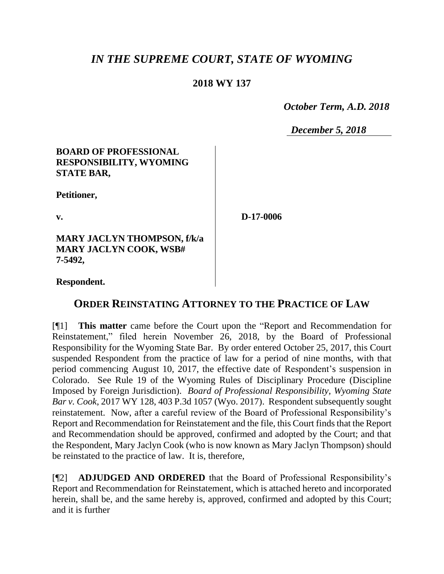# *IN THE SUPREME COURT, STATE OF WYOMING*

## **2018 WY 137**

 *October Term, A.D. 2018*

*December 5, 2018*

#### **BOARD OF PROFESSIONAL RESPONSIBILITY, WYOMING STATE BAR,**

**Petitioner,**

**v.**

**D-17-0006**

**MARY JACLYN THOMPSON, f/k/a MARY JACLYN COOK, WSB# 7-5492,**

**Respondent.**

# **ORDER REINSTATING ATTORNEY TO THE PRACTICE OF LAW**

[¶1] **This matter** came before the Court upon the "Report and Recommendation for Reinstatement," filed herein November 26, 2018, by the Board of Professional Responsibility for the Wyoming State Bar. By order entered October 25, 2017, this Court suspended Respondent from the practice of law for a period of nine months, with that period commencing August 10, 2017, the effective date of Respondent's suspension in Colorado. See Rule 19 of the Wyoming Rules of Disciplinary Procedure (Discipline Imposed by Foreign Jurisdiction). *Board of Professional Responsibility, Wyoming State Bar v. Cook*, 2017 WY 128, 403 P.3d 1057 (Wyo. 2017). Respondent subsequently sought reinstatement. Now, after a careful review of the Board of Professional Responsibility's Report and Recommendation for Reinstatement and the file, this Court finds that the Report and Recommendation should be approved, confirmed and adopted by the Court; and that the Respondent, Mary Jaclyn Cook (who is now known as Mary Jaclyn Thompson) should be reinstated to the practice of law. It is, therefore,

[¶2] **ADJUDGED AND ORDERED** that the Board of Professional Responsibility's Report and Recommendation for Reinstatement, which is attached hereto and incorporated herein, shall be, and the same hereby is, approved, confirmed and adopted by this Court; and it is further